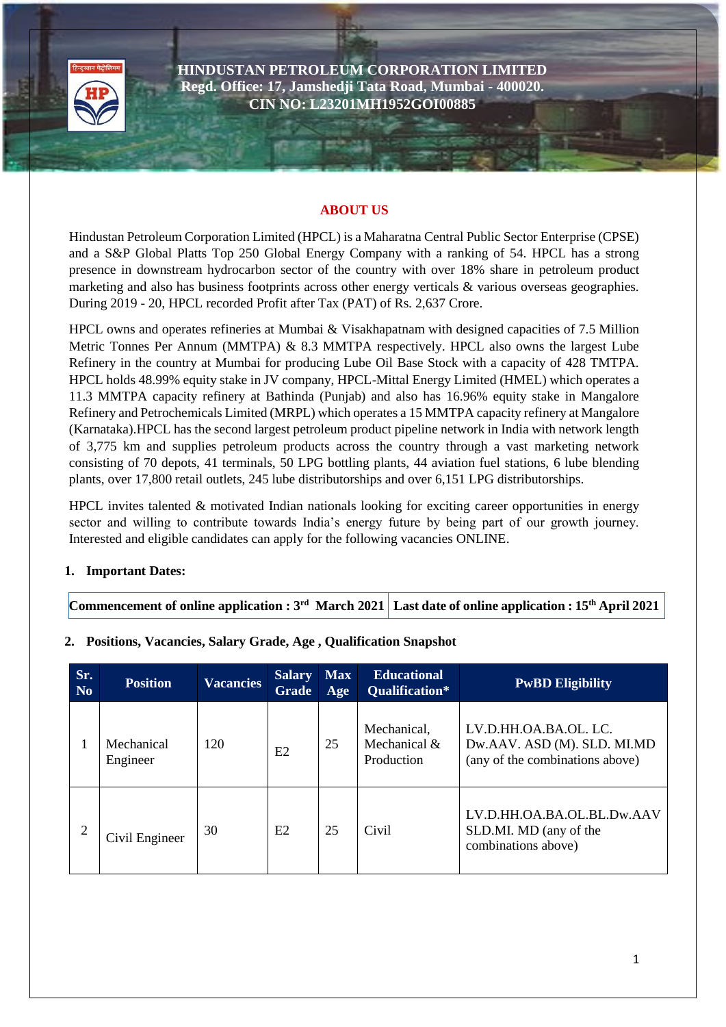

**HINDUSTAN PETROLEUM CORPORATION LIMITED Regd. Office: 17, Jamshedji Tata Road, Mumbai - 400020. CIN NO: L23201MH1952GOI00885**

#### **ABOUT US**

Hindustan Petroleum Corporation Limited (HPCL) is a Maharatna Central Public Sector Enterprise (CPSE) and a S&P Global Platts Top 250 Global Energy Company with a ranking of 54. HPCL has a strong presence in downstream hydrocarbon sector of the country with over 18% share in petroleum product marketing and also has business footprints across other energy verticals & various overseas geographies. During 2019 - 20, HPCL recorded Profit after Tax (PAT) of Rs. 2,637 Crore.

HPCL owns and operates refineries at Mumbai & Visakhapatnam with designed capacities of 7.5 Million Metric Tonnes Per Annum (MMTPA) & 8.3 MMTPA respectively. HPCL also owns the largest Lube Refinery in the country at Mumbai for producing Lube Oil Base Stock with a capacity of 428 TMTPA. HPCL holds 48.99% equity stake in JV company, HPCL-Mittal Energy Limited (HMEL) which operates a 11.3 MMTPA capacity refinery at Bathinda (Punjab) and also has 16.96% equity stake in Mangalore Refinery and Petrochemicals Limited (MRPL) which operates a 15 MMTPA capacity refinery at Mangalore (Karnataka).HPCL has the second largest petroleum product pipeline network in India with network length of 3,775 km and supplies petroleum products across the country through a vast marketing network consisting of 70 depots, 41 terminals, 50 LPG bottling plants, 44 aviation fuel stations, 6 lube blending plants, over 17,800 retail outlets, 245 lube distributorships and over 6,151 LPG distributorships.

HPCL invites talented & motivated Indian nationals looking for exciting career opportunities in energy sector and willing to contribute towards India's energy future by being part of our growth journey. Interested and eligible candidates can apply for the following vacancies ONLINE.

## **1. Important Dates:**

**Commencement of online application : 3rd March 2021 Last date of online application : 15th April 2021**

| Sr.<br><b>No</b> | <b>Position</b>        | <b>Vacancies</b> | <b>Salary</b><br><b>Grade</b> | <b>Max</b><br>Age | <b>Educational</b><br>Qualification*      | <b>PwBD Eligibility</b>                                                                 |
|------------------|------------------------|------------------|-------------------------------|-------------------|-------------------------------------------|-----------------------------------------------------------------------------------------|
| 1                | Mechanical<br>Engineer | 120              | E <sub>2</sub>                | 25                | Mechanical,<br>Mechanical &<br>Production | LV.D.HH.OA.BA.OL. LC.<br>Dw.AAV. ASD (M). SLD. MI.MD<br>(any of the combinations above) |
| $\overline{2}$   | Civil Engineer         | 30               | E2                            | 25                | Civil                                     | LV.D.HH.OA.BA.OL.BL.Dw.AAV<br>SLD.MI. MD (any of the<br>combinations above)             |

## **2. Positions, Vacancies, Salary Grade, Age , Qualification Snapshot**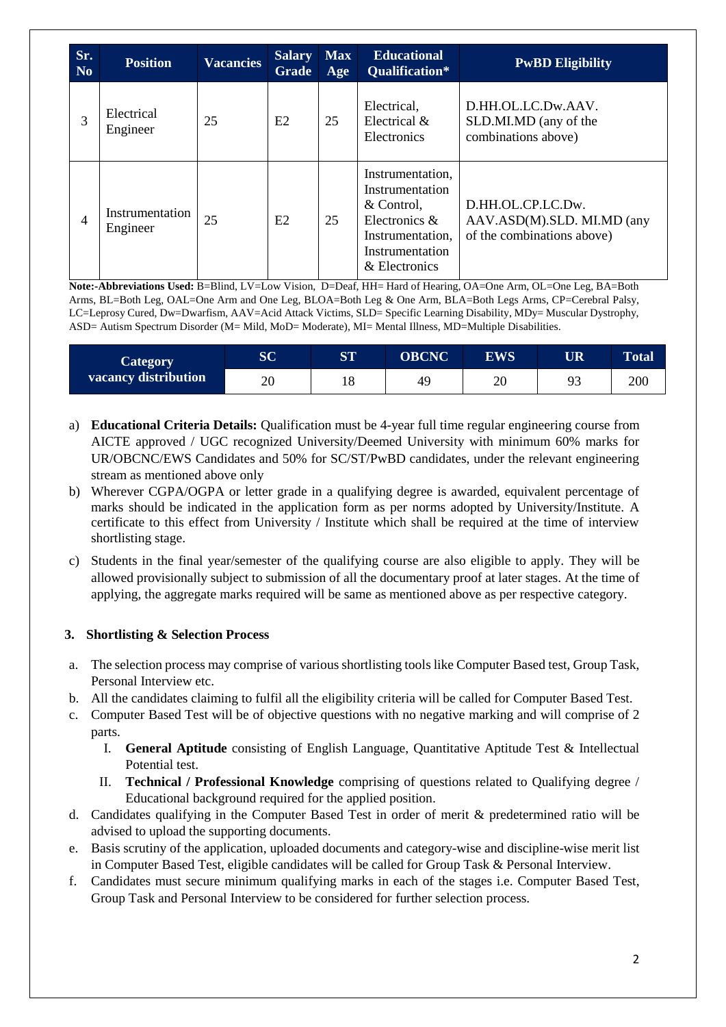| Sr.<br>N <sub>0</sub> | <b>Position</b>             | <b>Vacancies</b> | <b>Salary</b><br><b>Grade</b> | <b>Max</b><br>Age | <b>Educational</b><br><b>Qualification*</b>                                                                                | <b>PwBD Eligibility</b>                                                       |
|-----------------------|-----------------------------|------------------|-------------------------------|-------------------|----------------------------------------------------------------------------------------------------------------------------|-------------------------------------------------------------------------------|
| 3                     | Electrical<br>Engineer      | 25               | E2                            | 25                | Electrical,<br>Electrical $\&$<br>Electronics                                                                              | D.HH.OL.LC.Dw.AAV.<br>SLD.MI.MD (any of the<br>combinations above)            |
| 4                     | Instrumentation<br>Engineer | 25               | E2                            | 25                | Instrumentation,<br>Instrumentation<br>& Control.<br>Electronics &<br>Instrumentation,<br>Instrumentation<br>& Electronics | D.HH.OL.CP.LC.Dw.<br>AAV.ASD(M).SLD. MI.MD (any<br>of the combinations above) |

**Note:-Abbreviations Used:** B=Blind, LV=Low Vision, D=Deaf, HH= Hard of Hearing, OA=One Arm, OL=One Leg, BA=Both Arms, BL=Both Leg, OAL=One Arm and One Leg, BLOA=Both Leg & One Arm, BLA=Both Legs Arms, CP=Cerebral Palsy, LC=Leprosy Cured, Dw=Dwarfism, AAV=Acid Attack Victims, SLD= Specific Learning Disability, MDy= Muscular Dystrophy, ASD= Autism Spectrum Disorder (M= Mild, MoD= Moderate), MI= Mental Illness, MD=Multiple Disabilities.

| <b>Category</b>      | $\overline{\mathbf{S}}\mathbf{C}$ | <b>ST</b> | <b>OBCNC</b> | <b>EWS</b> | <b>UR</b> | <b>Total</b> |
|----------------------|-----------------------------------|-----------|--------------|------------|-----------|--------------|
| vacancy distribution | ∩∩<br>∠∪                          |           | 49           | 20         | 02<br>フコ  | 200          |

- a) **Educational Criteria Details:** Qualification must be 4-year full time regular engineering course from AICTE approved / UGC recognized University/Deemed University with minimum 60% marks for UR/OBCNC/EWS Candidates and 50% for SC/ST/PwBD candidates, under the relevant engineering stream as mentioned above only
- b) Wherever CGPA/OGPA or letter grade in a qualifying degree is awarded, equivalent percentage of marks should be indicated in the application form as per norms adopted by University/Institute. A certificate to this effect from University / Institute which shall be required at the time of interview shortlisting stage.
- c) Students in the final year/semester of the qualifying course are also eligible to apply. They will be allowed provisionally subject to submission of all the documentary proof at later stages. At the time of applying, the aggregate marks required will be same as mentioned above as per respective category.

## **3. Shortlisting & Selection Process**

- a. The selection process may comprise of various shortlisting tools like Computer Based test, Group Task, Personal Interview etc.
- b. All the candidates claiming to fulfil all the eligibility criteria will be called for Computer Based Test.
- c. Computer Based Test will be of objective questions with no negative marking and will comprise of 2 parts.
	- I. **General Aptitude** consisting of English Language, Quantitative Aptitude Test & Intellectual Potential test.
	- II. **Technical / Professional Knowledge** comprising of questions related to Qualifying degree / Educational background required for the applied position.
- d. Candidates qualifying in the Computer Based Test in order of merit & predetermined ratio will be advised to upload the supporting documents.
- e. Basis scrutiny of the application, uploaded documents and category-wise and discipline-wise merit list in Computer Based Test, eligible candidates will be called for Group Task & Personal Interview.
- f. Candidates must secure minimum qualifying marks in each of the stages i.e. Computer Based Test, Group Task and Personal Interview to be considered for further selection process.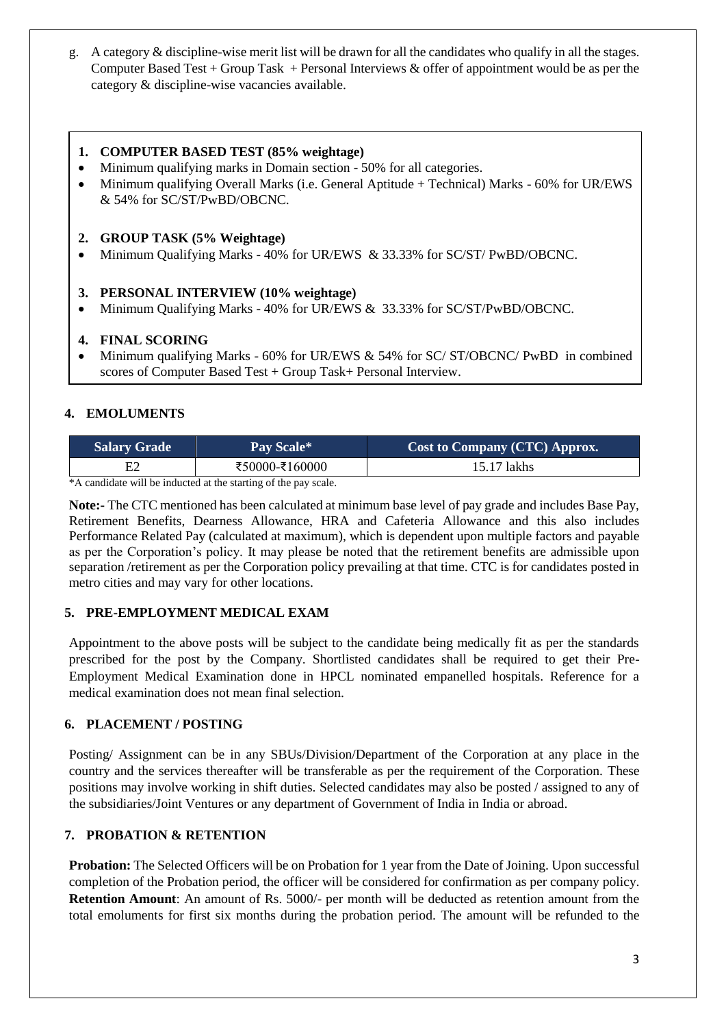g. A category & discipline-wise merit list will be drawn for all the candidates who qualify in all the stages. Computer Based Test + Group Task + Personal Interviews & offer of appointment would be as per the category & discipline-wise vacancies available.

#### **1. COMPUTER BASED TEST (85% weightage)**

- Minimum qualifying marks in Domain section 50% for all categories.
- Minimum qualifying Overall Marks (i.e. General Aptitude + Technical) Marks 60% for UR/EWS & 54% for SC/ST/PwBD/OBCNC.

#### **2. GROUP TASK (5% Weightage)**

Minimum Qualifying Marks - 40% for UR/EWS & 33.33% for SC/ST/ PwBD/OBCNC.

#### **3. PERSONAL INTERVIEW (10% weightage)**

Minimum Qualifying Marks - 40% for UR/EWS & 33.33% for SC/ST/PwBD/OBCNC.

#### **4. FINAL SCORING**

 Minimum qualifying Marks - 60% for UR/EWS & 54% for SC/ ST/OBCNC/ PwBD in combined scores of Computer Based Test + Group Task+ Personal Interview.

## **4. EMOLUMENTS**

| <b>Salary Grade</b> | Pay Scale*     | Cost to Company (CTC) Approx. |
|---------------------|----------------|-------------------------------|
|                     | ₹50000-₹160000 | 15.17 lakhs                   |
| $\sim$ $\sim$       |                |                               |

\*A candidate will be inducted at the starting of the pay scale.

**Note:-** The CTC mentioned has been calculated at minimum base level of pay grade and includes Base Pay, Retirement Benefits, Dearness Allowance, HRA and Cafeteria Allowance and this also includes Performance Related Pay (calculated at maximum), which is dependent upon multiple factors and payable as per the Corporation's policy. It may please be noted that the retirement benefits are admissible upon separation /retirement as per the Corporation policy prevailing at that time. CTC is for candidates posted in metro cities and may vary for other locations.

## **5. PRE-EMPLOYMENT MEDICAL EXAM**

Appointment to the above posts will be subject to the candidate being medically fit as per the standards prescribed for the post by the Company. Shortlisted candidates shall be required to get their Pre-Employment Medical Examination done in HPCL nominated empanelled hospitals. Reference for a medical examination does not mean final selection.

## **6. PLACEMENT / POSTING**

Posting/ Assignment can be in any SBUs/Division/Department of the Corporation at any place in the country and the services thereafter will be transferable as per the requirement of the Corporation. These positions may involve working in shift duties. Selected candidates may also be posted / assigned to any of the subsidiaries/Joint Ventures or any department of Government of India in India or abroad.

## **7. PROBATION & RETENTION**

**Probation:** The Selected Officers will be on Probation for 1 year from the Date of Joining. Upon successful completion of the Probation period, the officer will be considered for confirmation as per company policy. **Retention Amount**: An amount of Rs. 5000/- per month will be deducted as retention amount from the total emoluments for first six months during the probation period. The amount will be refunded to the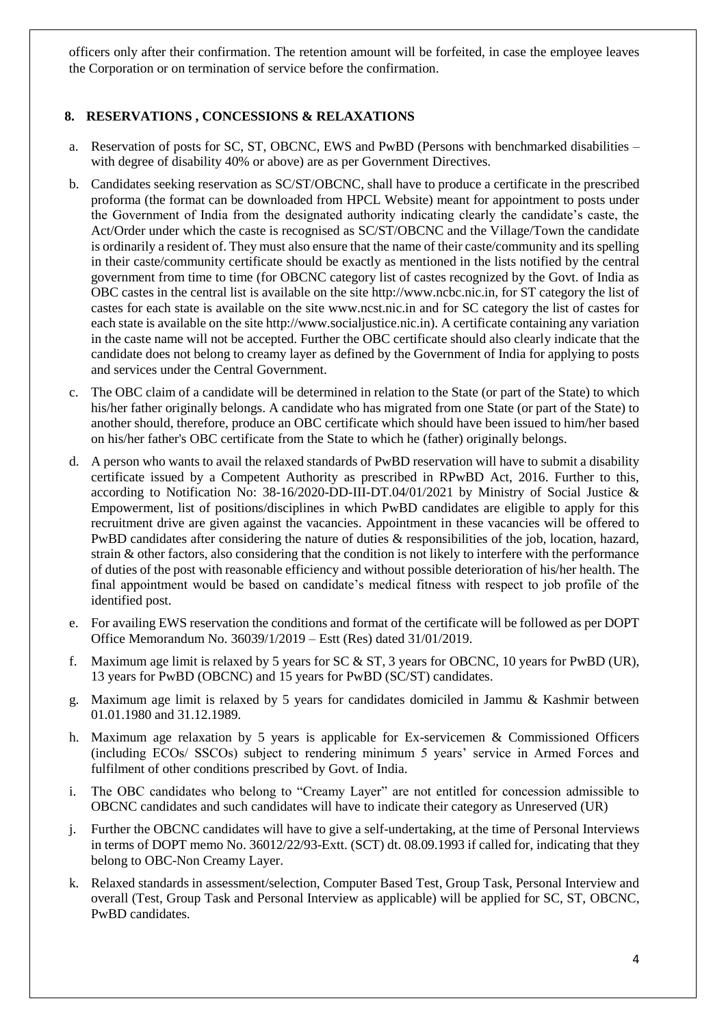officers only after their confirmation. The retention amount will be forfeited, in case the employee leaves the Corporation or on termination of service before the confirmation.

# **8. RESERVATIONS , CONCESSIONS & RELAXATIONS**

- a. Reservation of posts for SC, ST, OBCNC, EWS and PwBD (Persons with benchmarked disabilities with degree of disability 40% or above) are as per Government Directives.
- b. Candidates seeking reservation as SC/ST/OBCNC, shall have to produce a certificate in the prescribed proforma (the format can be downloaded from HPCL Website) meant for appointment to posts under the Government of India from the designated authority indicating clearly the candidate's caste, the Act/Order under which the caste is recognised as SC/ST/OBCNC and the Village/Town the candidate is ordinarily a resident of. They must also ensure that the name of their caste/community and its spelling in their caste/community certificate should be exactly as mentioned in the lists notified by the central government from time to time (for OBCNC category list of castes recognized by the Govt. of India as OBC castes in the central list is available on the site http://www.ncbc.nic.in, for ST category the list of castes for each state is available on the site www.ncst.nic.in and for SC category the list of castes for each state is available on the site http://www.socialjustice.nic.in). A certificate containing any variation in the caste name will not be accepted. Further the OBC certificate should also clearly indicate that the candidate does not belong to creamy layer as defined by the Government of India for applying to posts and services under the Central Government.
- c. The OBC claim of a candidate will be determined in relation to the State (or part of the State) to which his/her father originally belongs. A candidate who has migrated from one State (or part of the State) to another should, therefore, produce an OBC certificate which should have been issued to him/her based on his/her father's OBC certificate from the State to which he (father) originally belongs.
- d. A person who wants to avail the relaxed standards of PwBD reservation will have to submit a disability certificate issued by a Competent Authority as prescribed in RPwBD Act, 2016. Further to this, according to Notification No: 38-16/2020-DD-III-DT.04/01/2021 by Ministry of Social Justice & Empowerment, list of positions/disciplines in which PwBD candidates are eligible to apply for this recruitment drive are given against the vacancies. Appointment in these vacancies will be offered to PwBD candidates after considering the nature of duties & responsibilities of the job, location, hazard, strain & other factors, also considering that the condition is not likely to interfere with the performance of duties of the post with reasonable efficiency and without possible deterioration of his/her health. The final appointment would be based on candidate's medical fitness with respect to job profile of the identified post.
- e. For availing EWS reservation the conditions and format of the certificate will be followed as per DOPT Office Memorandum No. 36039/1/2019 – Estt (Res) dated 31/01/2019.
- f. Maximum age limit is relaxed by 5 years for SC & ST, 3 years for OBCNC, 10 years for PwBD (UR), 13 years for PwBD (OBCNC) and 15 years for PwBD (SC/ST) candidates.
- g. Maximum age limit is relaxed by 5 years for candidates domiciled in Jammu & Kashmir between 01.01.1980 and 31.12.1989.
- h. Maximum age relaxation by 5 years is applicable for Ex-servicemen & Commissioned Officers (including ECOs/ SSCOs) subject to rendering minimum 5 years' service in Armed Forces and fulfilment of other conditions prescribed by Govt. of India.
- i. The OBC candidates who belong to "Creamy Layer" are not entitled for concession admissible to OBCNC candidates and such candidates will have to indicate their category as Unreserved (UR)
- j. Further the OBCNC candidates will have to give a self-undertaking, at the time of Personal Interviews in terms of DOPT memo No. 36012/22/93-Extt. (SCT) dt. 08.09.1993 if called for, indicating that they belong to OBC-Non Creamy Layer.
- k. Relaxed standards in assessment/selection, Computer Based Test, Group Task, Personal Interview and overall (Test, Group Task and Personal Interview as applicable) will be applied for SC, ST, OBCNC, PwBD candidates.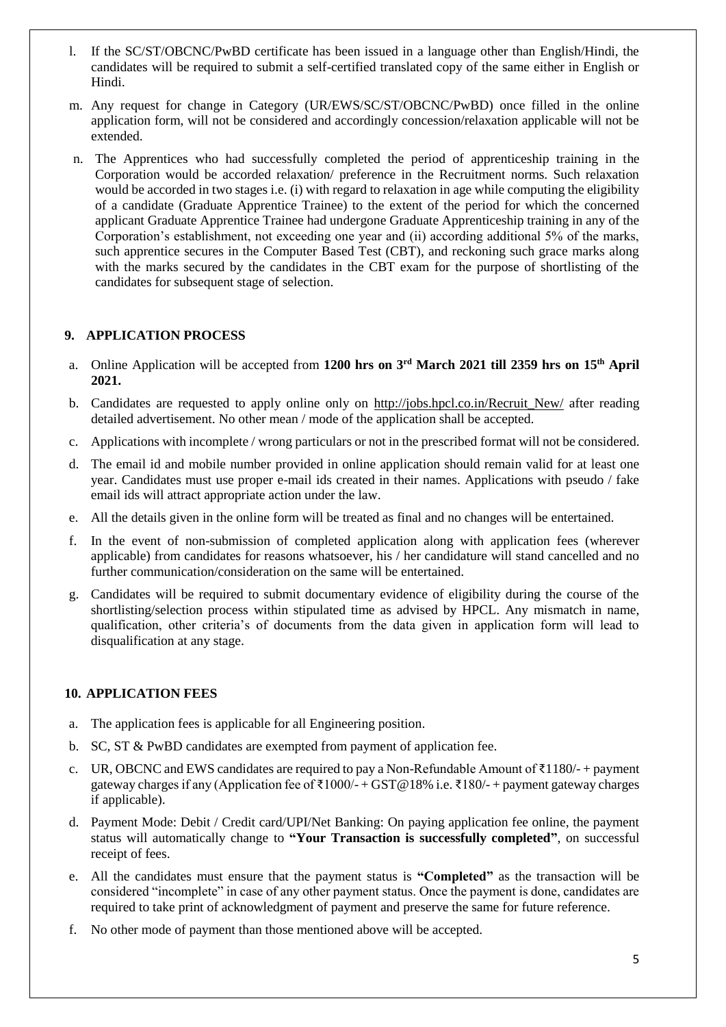- l. If the SC/ST/OBCNC/PwBD certificate has been issued in a language other than English/Hindi, the candidates will be required to submit a self-certified translated copy of the same either in English or Hindi.
- m. Any request for change in Category (UR/EWS/SC/ST/OBCNC/PwBD) once filled in the online application form, will not be considered and accordingly concession/relaxation applicable will not be extended.
- n. The Apprentices who had successfully completed the period of apprenticeship training in the Corporation would be accorded relaxation/ preference in the Recruitment norms. Such relaxation would be accorded in two stages i.e. (i) with regard to relaxation in age while computing the eligibility of a candidate (Graduate Apprentice Trainee) to the extent of the period for which the concerned applicant Graduate Apprentice Trainee had undergone Graduate Apprenticeship training in any of the Corporation's establishment, not exceeding one year and (ii) according additional 5% of the marks, such apprentice secures in the Computer Based Test (CBT), and reckoning such grace marks along with the marks secured by the candidates in the CBT exam for the purpose of shortlisting of the candidates for subsequent stage of selection.

## **9. APPLICATION PROCESS**

- a. Online Application will be accepted from **1200 hrs on 3 rd March 2021 till 2359 hrs on 15th April 2021.**
- b. Candidates are requested to apply online only on http://jobs.hpcl.co.in/Recruit\_New/ after reading detailed advertisement. No other mean / mode of the application shall be accepted.
- c. Applications with incomplete / wrong particulars or not in the prescribed format will not be considered.
- d. The email id and mobile number provided in online application should remain valid for at least one year. Candidates must use proper e-mail ids created in their names. Applications with pseudo / fake email ids will attract appropriate action under the law.
- e. All the details given in the online form will be treated as final and no changes will be entertained.
- In the event of non-submission of completed application along with application fees (wherever applicable) from candidates for reasons whatsoever, his / her candidature will stand cancelled and no further communication/consideration on the same will be entertained.
- g. Candidates will be required to submit documentary evidence of eligibility during the course of the shortlisting/selection process within stipulated time as advised by HPCL. Any mismatch in name, qualification, other criteria's of documents from the data given in application form will lead to disqualification at any stage.

#### **10. APPLICATION FEES**

- a. The application fees is applicable for all Engineering position.
- b. SC, ST & PwBD candidates are exempted from payment of application fee.
- c. UR, OBCNC and EWS candidates are required to pay a Non-Refundable Amount of ₹1180/- + payment gateway charges if any (Application fee of ₹1000/- + GST@18% i.e. ₹180/- + payment gateway charges if applicable).
- d. Payment Mode: Debit / Credit card/UPI/Net Banking: On paying application fee online, the payment status will automatically change to **"Your Transaction is successfully completed"**, on successful receipt of fees.
- e. All the candidates must ensure that the payment status is **"Completed"** as the transaction will be considered "incomplete" in case of any other payment status. Once the payment is done, candidates are required to take print of acknowledgment of payment and preserve the same for future reference.
- f. No other mode of payment than those mentioned above will be accepted.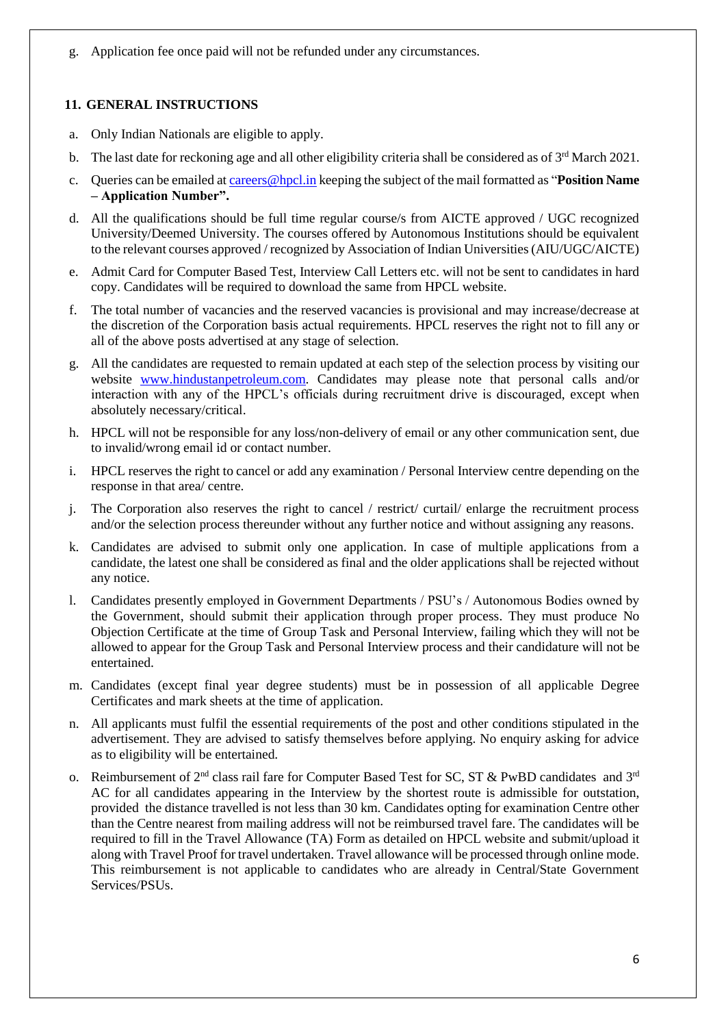g. Application fee once paid will not be refunded under any circumstances.

## **11. GENERAL INSTRUCTIONS**

- a. Only Indian Nationals are eligible to apply.
- b. The last date for reckoning age and all other eligibility criteria shall be considered as of  $3<sup>rd</sup>$  March 2021.
- c. Queries can be emailed at [careers@hpcl.in](mailto:careers@hpcl.in) keeping the subject of the mail formatted as "**Position Name – Application Number".**
- d. All the qualifications should be full time regular course/s from AICTE approved / UGC recognized University/Deemed University. The courses offered by Autonomous Institutions should be equivalent to the relevant courses approved / recognized by Association of Indian Universities (AIU/UGC/AICTE)
- e. Admit Card for Computer Based Test, Interview Call Letters etc. will not be sent to candidates in hard copy. Candidates will be required to download the same from HPCL website.
- f. The total number of vacancies and the reserved vacancies is provisional and may increase/decrease at the discretion of the Corporation basis actual requirements. HPCL reserves the right not to fill any or all of the above posts advertised at any stage of selection.
- g. All the candidates are requested to remain updated at each step of the selection process by visiting our website [www.hindustanpetroleum.com.](http://www.hindustanpetroleum.com/) Candidates may please note that personal calls and/or interaction with any of the HPCL's officials during recruitment drive is discouraged, except when absolutely necessary/critical.
- h. HPCL will not be responsible for any loss/non-delivery of email or any other communication sent, due to invalid/wrong email id or contact number.
- i. HPCL reserves the right to cancel or add any examination / Personal Interview centre depending on the response in that area/ centre.
- j. The Corporation also reserves the right to cancel / restrict/ curtail/ enlarge the recruitment process and/or the selection process thereunder without any further notice and without assigning any reasons.
- k. Candidates are advised to submit only one application. In case of multiple applications from a candidate, the latest one shall be considered as final and the older applications shall be rejected without any notice.
- l. Candidates presently employed in Government Departments / PSU's / Autonomous Bodies owned by the Government, should submit their application through proper process. They must produce No Objection Certificate at the time of Group Task and Personal Interview, failing which they will not be allowed to appear for the Group Task and Personal Interview process and their candidature will not be entertained.
- m. Candidates (except final year degree students) must be in possession of all applicable Degree Certificates and mark sheets at the time of application.
- n. All applicants must fulfil the essential requirements of the post and other conditions stipulated in the advertisement. They are advised to satisfy themselves before applying. No enquiry asking for advice as to eligibility will be entertained.
- o. Reimbursement of  $2^{nd}$  class rail fare for Computer Based Test for SC, ST & PwBD candidates and  $3^{rd}$ AC for all candidates appearing in the Interview by the shortest route is admissible for outstation, provided the distance travelled is not less than 30 km. Candidates opting for examination Centre other than the Centre nearest from mailing address will not be reimbursed travel fare. The candidates will be required to fill in the Travel Allowance (TA) Form as detailed on HPCL website and submit/upload it along with Travel Proof for travel undertaken. Travel allowance will be processed through online mode. This reimbursement is not applicable to candidates who are already in Central/State Government Services/PSUs.